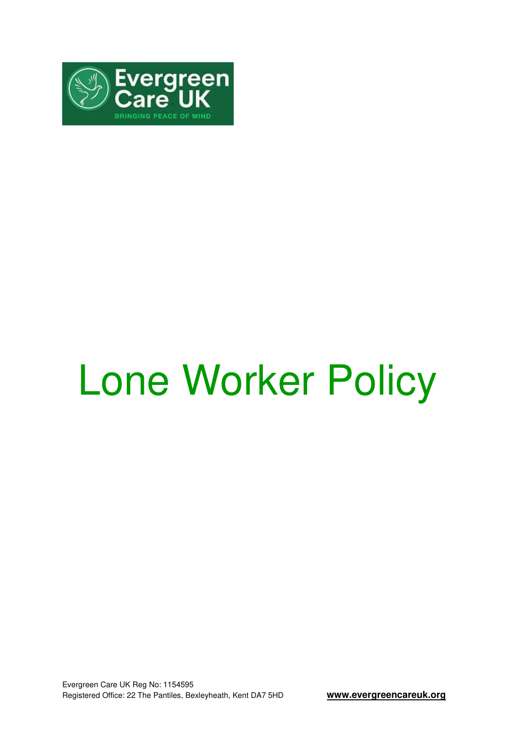

# Lone Worker Policy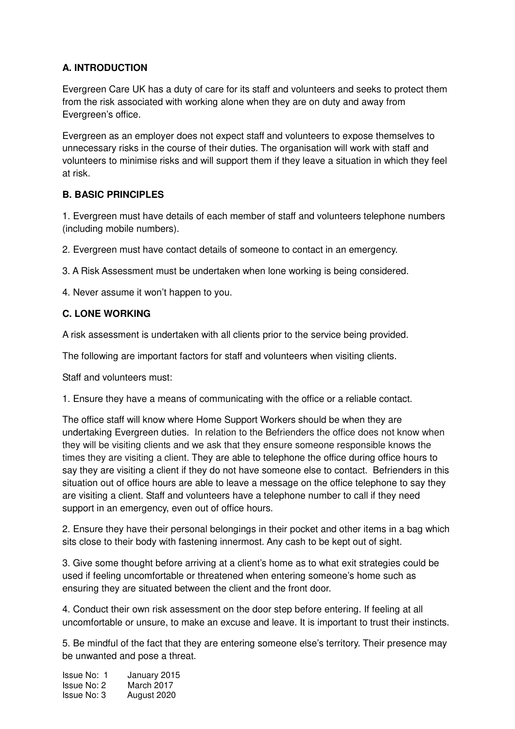# **A. INTRODUCTION**

Evergreen Care UK has a duty of care for its staff and volunteers and seeks to protect them from the risk associated with working alone when they are on duty and away from Evergreen's office.

Evergreen as an employer does not expect staff and volunteers to expose themselves to unnecessary risks in the course of their duties. The organisation will work with staff and volunteers to minimise risks and will support them if they leave a situation in which they feel at risk.

### **B. BASIC PRINCIPLES**

1. Evergreen must have details of each member of staff and volunteers telephone numbers (including mobile numbers).

2. Evergreen must have contact details of someone to contact in an emergency.

3. A Risk Assessment must be undertaken when lone working is being considered.

4. Never assume it won't happen to you.

### **C. LONE WORKING**

A risk assessment is undertaken with all clients prior to the service being provided.

The following are important factors for staff and volunteers when visiting clients.

Staff and volunteers must:

1. Ensure they have a means of communicating with the office or a reliable contact.

The office staff will know where Home Support Workers should be when they are undertaking Evergreen duties. In relation to the Befrienders the office does not know when they will be visiting clients and we ask that they ensure someone responsible knows the times they are visiting a client. They are able to telephone the office during office hours to say they are visiting a client if they do not have someone else to contact. Befrienders in this situation out of office hours are able to leave a message on the office telephone to say they are visiting a client. Staff and volunteers have a telephone number to call if they need support in an emergency, even out of office hours.

2. Ensure they have their personal belongings in their pocket and other items in a bag which sits close to their body with fastening innermost. Any cash to be kept out of sight.

3. Give some thought before arriving at a client's home as to what exit strategies could be used if feeling uncomfortable or threatened when entering someone's home such as ensuring they are situated between the client and the front door.

4. Conduct their own risk assessment on the door step before entering. If feeling at all uncomfortable or unsure, to make an excuse and leave. It is important to trust their instincts.

5. Be mindful of the fact that they are entering someone else's territory. Their presence may be unwanted and pose a threat.

Issue No: 1 January 2015 Issue No: 2 March 2017<br>Issue No: 3 August 2020 August 2020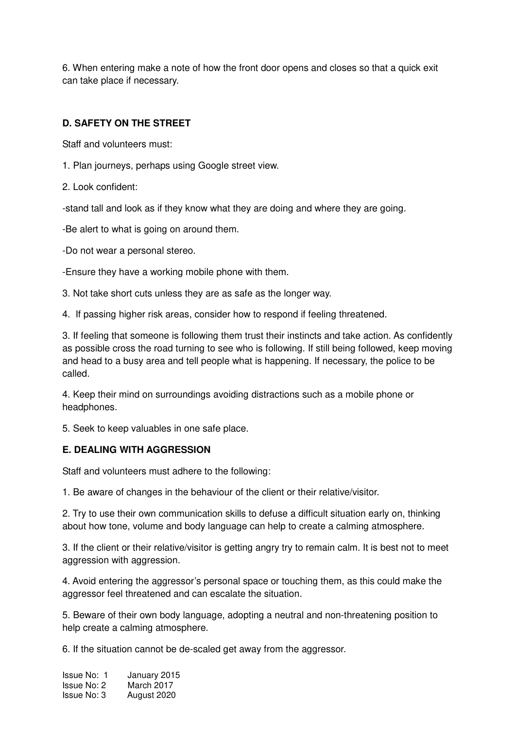6. When entering make a note of how the front door opens and closes so that a quick exit can take place if necessary.

# **D. SAFETY ON THE STREET**

Staff and volunteers must:

- 1. Plan journeys, perhaps using Google street view.
- 2. Look confident:

-stand tall and look as if they know what they are doing and where they are going.

-Be alert to what is going on around them.

-Do not wear a personal stereo.

-Ensure they have a working mobile phone with them.

3. Not take short cuts unless they are as safe as the longer way.

4. If passing higher risk areas, consider how to respond if feeling threatened.

3. If feeling that someone is following them trust their instincts and take action. As confidently as possible cross the road turning to see who is following. If still being followed, keep moving and head to a busy area and tell people what is happening. If necessary, the police to be called.

4. Keep their mind on surroundings avoiding distractions such as a mobile phone or headphones.

5. Seek to keep valuables in one safe place.

### **E. DEALING WITH AGGRESSION**

Staff and volunteers must adhere to the following:

1. Be aware of changes in the behaviour of the client or their relative/visitor.

2. Try to use their own communication skills to defuse a difficult situation early on, thinking about how tone, volume and body language can help to create a calming atmosphere.

3. If the client or their relative/visitor is getting angry try to remain calm. It is best not to meet aggression with aggression.

4. Avoid entering the aggressor's personal space or touching them, as this could make the aggressor feel threatened and can escalate the situation.

5. Beware of their own body language, adopting a neutral and non-threatening position to help create a calming atmosphere.

6. If the situation cannot be de-scaled get away from the aggressor.

Issue No: 1 January 2015 Issue No: 2 March 2017<br>Issue No: 3 August 2020 August 2020